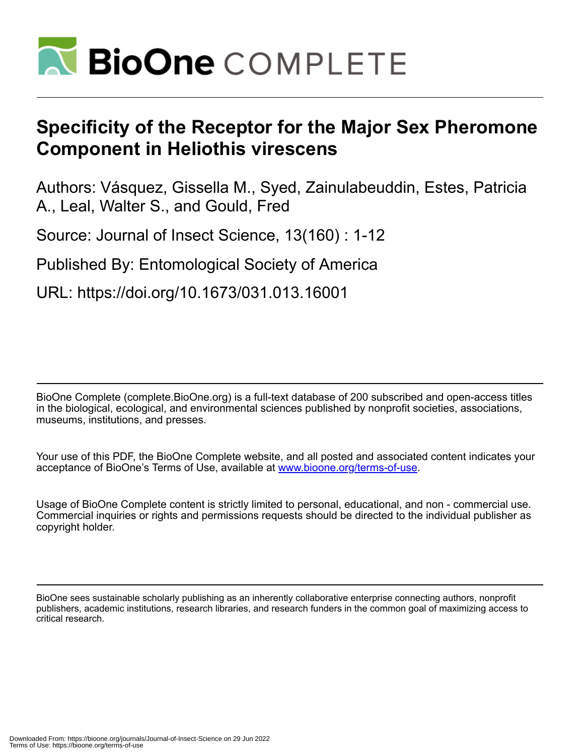

# **Specificity of the Receptor for the Major Sex Pheromone Component in Heliothis virescens**

Authors: Vásquez, Gissella M., Syed, Zainulabeuddin, Estes, Patricia A., Leal, Walter S., and Gould, Fred

Source: Journal of Insect Science, 13(160) : 1-12

Published By: Entomological Society of America

URL: https://doi.org/10.1673/031.013.16001

BioOne Complete (complete.BioOne.org) is a full-text database of 200 subscribed and open-access titles in the biological, ecological, and environmental sciences published by nonprofit societies, associations, museums, institutions, and presses.

Your use of this PDF, the BioOne Complete website, and all posted and associated content indicates your acceptance of BioOne's Terms of Use, available at www.bioone.org/terms-of-use.

Usage of BioOne Complete content is strictly limited to personal, educational, and non - commercial use. Commercial inquiries or rights and permissions requests should be directed to the individual publisher as copyright holder.

BioOne sees sustainable scholarly publishing as an inherently collaborative enterprise connecting authors, nonprofit publishers, academic institutions, research libraries, and research funders in the common goal of maximizing access to critical research.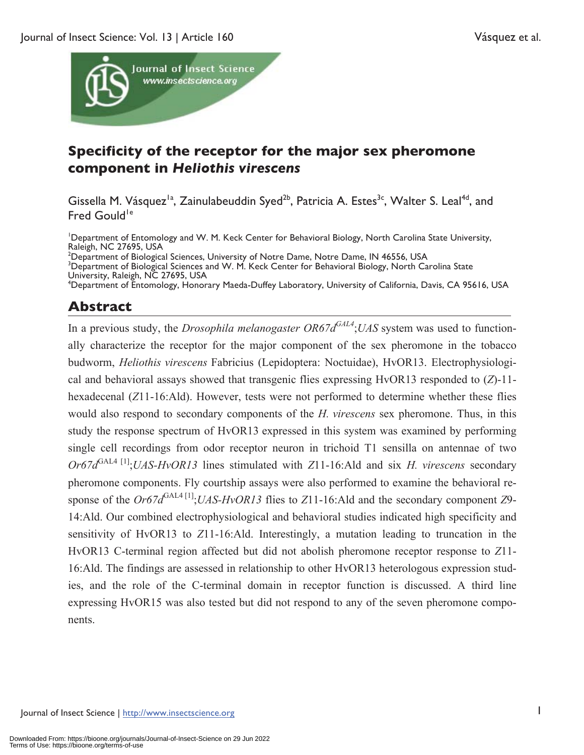

# **Specificity of the receptor for the major sex pheromone component in** *Heliothis virescens*

Gissella M. Vásquez<sup>1a</sup>, Zainulabeuddin Syed<sup>2b</sup>, Patricia A. Estes<sup>3c</sup>, Walter S. Leal<sup>4d</sup>, and Fred Gould<sup>1e</sup>

<sup>1</sup>Department of Entomology and W. M. Keck Center for Behavioral Biology, North Carolina State University, Raleigh, NC 27695, USA<br><sup>2</sup> Department of Biological Sciences, University of Notre Dame, Notre Dame, IN 46556, USA<br><sup>3</sup> Department of Biological Sciences and W. M. Kock Center for Pehaviaral Biology, North Ca

<sup>3</sup>Department of Biological Sciences and W. M. Keck Center for Behavioral Biology, North Carolina State University, Raleigh, NC 27695, USA

4 Department of Entomology, Honorary Maeda-Duffey Laboratory, University of California, Davis, CA 95616, USA

## **Abstract**

In a previous study, the *Drosophila melanogaster OR67dGAL4*;*UAS* system was used to functionally characterize the receptor for the major component of the sex pheromone in the tobacco budworm, *Heliothis virescens* Fabricius (Lepidoptera: Noctuidae), HvOR13. Electrophysiological and behavioral assays showed that transgenic flies expressing HvOR13 responded to (*Z*)-11 hexadecenal (*Z*11-16:Ald). However, tests were not performed to determine whether these flies would also respond to secondary components of the *H. virescens* sex pheromone. Thus, in this study the response spectrum of HvOR13 expressed in this system was examined by performing single cell recordings from odor receptor neuron in trichoid T1 sensilla on antennae of two *Or67d*<sup>GAL4 [1]</sup>;*UAS-HvOR13* lines stimulated with *Z*11-16:Ald and six *H. virescens* secondary pheromone components. Fly courtship assays were also performed to examine the behavioral response of the *Or67d*<sup>GAL4[1]</sup>;*UAS-HvOR13* flies to *Z*11-16:Ald and the secondary component *Z*9-14:Ald. Our combined electrophysiological and behavioral studies indicated high specificity and sensitivity of HvOR13 to *Z*11-16:Ald. Interestingly, a mutation leading to truncation in the HvOR13 C-terminal region affected but did not abolish pheromone receptor response to *Z*11- 16:Ald. The findings are assessed in relationship to other HvOR13 heterologous expression studies, and the role of the C-terminal domain in receptor function is discussed. A third line expressing HvOR15 was also tested but did not respond to any of the seven pheromone components.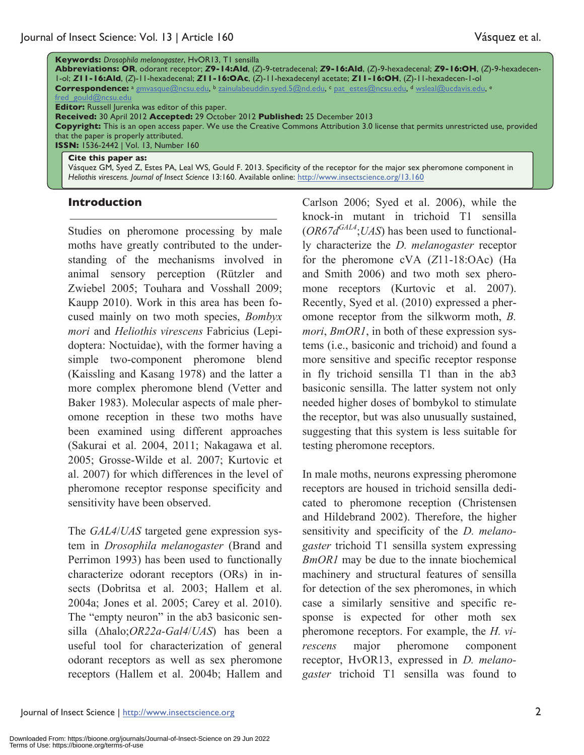|                                                                                                                                             | <b>Keywords:</b> Drosophila melanogaster, HvOR13, T1 sensilla                                                                |  |  |  |  |  |
|---------------------------------------------------------------------------------------------------------------------------------------------|------------------------------------------------------------------------------------------------------------------------------|--|--|--|--|--|
|                                                                                                                                             | Abbreviations: OR, odorant receptor; Z9-14:Ald, (Z)-9-tetradecenal; Z9-16:Ald, (Z)-9-hexadecenal; Z9-16:OH, (Z)-9-hexadecen- |  |  |  |  |  |
|                                                                                                                                             | $l$ -ol; ZII-I6:Ald, (Z)-II-hexadecenal; ZII-I6:OAc, (Z)-II-hexadecenyl acetate; ZII-I6:OH, (Z)-II-hexadecen-I-ol            |  |  |  |  |  |
|                                                                                                                                             | Correspondence: a gmvasque@ncsu.edu, b zainulabeuddin.syed.5@nd.edu, c pat estes@ncsu.edu, d wsleal@ucdavis.edu, e           |  |  |  |  |  |
|                                                                                                                                             | fred gould@ncsu.edu                                                                                                          |  |  |  |  |  |
| <b>Editor:</b> Russell Jurenka was editor of this paper.                                                                                    |                                                                                                                              |  |  |  |  |  |
| Received: 30 April 2012 Accepted: 29 October 2012 Published: 25 December 2013                                                               |                                                                                                                              |  |  |  |  |  |
| <b>Copyright:</b> This is an open access paper. We use the Creative Commons Attribution 3.0 license that permits unrestricted use, provided |                                                                                                                              |  |  |  |  |  |
| that the paper is properly attributed.                                                                                                      |                                                                                                                              |  |  |  |  |  |
| <b>ISSN: 1536-2442   Vol. 13, Number 160</b>                                                                                                |                                                                                                                              |  |  |  |  |  |
|                                                                                                                                             | Cite this paper as:                                                                                                          |  |  |  |  |  |

Vásquez GM, Syed Z, Estes PA, Leal WS, Gould F. 2013. Specificity of the receptor for the major sex pheromone component in *Heliothis virescens. Journal of Insect Science* 13:160. Available online: http://www.insectscience.org/13.160

#### **Introduction**

Studies on pheromone processing by male moths have greatly contributed to the understanding of the mechanisms involved in animal sensory perception (Rützler and Zwiebel 2005; Touhara and Vosshall 2009; Kaupp 2010). Work in this area has been focused mainly on two moth species, *Bombyx mori* and *Heliothis virescens* Fabricius (Lepidoptera: Noctuidae), with the former having a simple two-component pheromone blend (Kaissling and Kasang 1978) and the latter a more complex pheromone blend (Vetter and Baker 1983). Molecular aspects of male pheromone reception in these two moths have been examined using different approaches (Sakurai et al. 2004, 2011; Nakagawa et al. 2005; Grosse-Wilde et al. 2007; Kurtovic et al. 2007) for which differences in the level of pheromone receptor response specificity and sensitivity have been observed.

The *GAL4*/*UAS* targeted gene expression system in *Drosophila melanogaster* (Brand and Perrimon 1993) has been used to functionally characterize odorant receptors (ORs) in insects (Dobritsa et al. 2003; Hallem et al. 2004a; Jones et al. 2005; Carey et al. 2010). The "empty neuron" in the ab3 basiconic sensilla (Δhalo;*OR22a-Gal4*/*UAS*) has been a useful tool for characterization of general odorant receptors as well as sex pheromone receptors (Hallem et al. 2004b; Hallem and Carlson 2006; Syed et al. 2006), while the knock-in mutant in trichoid T1 sensilla  $(OR67d<sup>GAL4</sup>; UAS)$  has been used to functionally characterize the *D. melanogaster* receptor for the pheromone cVA (*Z*11-18:OAc) (Ha and Smith 2006) and two moth sex pheromone receptors (Kurtovic et al. 2007). Recently, Syed et al. (2010) expressed a pheromone receptor from the silkworm moth, *B. mori*, *BmOR1*, in both of these expression systems (i.e., basiconic and trichoid) and found a more sensitive and specific receptor response in fly trichoid sensilla T1 than in the ab3 basiconic sensilla. The latter system not only needed higher doses of bombykol to stimulate the receptor, but was also unusually sustained, suggesting that this system is less suitable for testing pheromone receptors.

In male moths, neurons expressing pheromone receptors are housed in trichoid sensilla dedicated to pheromone reception (Christensen and Hildebrand 2002). Therefore, the higher sensitivity and specificity of the *D. melanogaster* trichoid T1 sensilla system expressing *BmOR1* may be due to the innate biochemical machinery and structural features of sensilla for detection of the sex pheromones, in which case a similarly sensitive and specific response is expected for other moth sex pheromone receptors. For example, the *H. virescens* major pheromone component receptor, HvOR13, expressed in *D. melanogaster* trichoid T1 sensilla was found to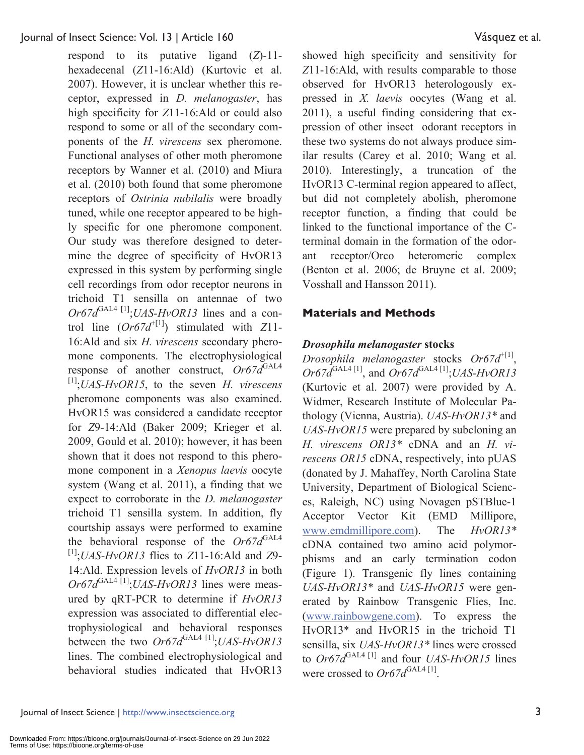respond to its putative ligand (*Z*)-11 hexadecenal (*Z*11-16:Ald) (Kurtovic et al. 2007). However, it is unclear whether this receptor, expressed in *D. melanogaster*, has high specificity for *Z*11-16:Ald or could also respond to some or all of the secondary components of the *H. virescens* sex pheromone. Functional analyses of other moth pheromone receptors by Wanner et al. (2010) and Miura et al. (2010) both found that some pheromone receptors of *Ostrinia nubilalis* were broadly tuned, while one receptor appeared to be highly specific for one pheromone component. Our study was therefore designed to determine the degree of specificity of HvOR13 expressed in this system by performing single cell recordings from odor receptor neurons in trichoid T1 sensilla on antennae of two  $Or67d^{GAL4}$ <sup>[1]</sup>;*UAS-HvOR13* lines and a control line (*Or67d*+[1]) stimulated with *Z*11- 16:Ald and six *H. virescens* secondary pheromone components. The electrophysiological response of another construct,  $Or67d^{GAL4}$ [1];*UAS-HvOR15*, to the seven *H. virescens* pheromone components was also examined. HvOR15 was considered a candidate receptor for *Z*9-14:Ald (Baker 2009; Krieger et al. 2009, Gould et al. 2010); however, it has been shown that it does not respond to this pheromone component in a *Xenopus laevis* oocyte system (Wang et al. 2011), a finding that we expect to corroborate in the *D. melanogaster* trichoid T1 sensilla system. In addition, fly courtship assays were performed to examine the behavioral response of the  $Or67d^{GAL4}$ [1];*UAS-HvOR13* flies to *Z*11-16:Ald and *Z*9- 14:Ald. Expression levels of *HvOR13* in both *Or67d*<sup>GAL4 [1]</sup>;*UAS-HvOR13* lines were measured by qRT-PCR to determine if *HvOR13*  expression was associated to differential electrophysiological and behavioral responses between the two *Or67d*<sup>GAL4 [1]</sup>;*UAS-HvOR13* lines. The combined electrophysiological and behavioral studies indicated that HvOR13

showed high specificity and sensitivity for *Z*11-16:Ald, with results comparable to those observed for HvOR13 heterologously expressed in *X. laevis* oocytes (Wang et al. 2011), a useful finding considering that expression of other insect odorant receptors in these two systems do not always produce similar results (Carey et al. 2010; Wang et al. 2010). Interestingly, a truncation of the HvOR13 C-terminal region appeared to affect, but did not completely abolish, pheromone receptor function, a finding that could be linked to the functional importance of the Cterminal domain in the formation of the odorant receptor/Orco heteromeric complex (Benton et al. 2006; de Bruyne et al. 2009; Vosshall and Hansson 2011).

#### **Materials and Methods**

#### *Drosophila melanogaster* **stocks**

*Drosophila melanogaster* stocks *Or67d*<sup>+[1]</sup>,  $Or67d^{GAL4[1]}$ , and  $Or67d^{GAL4[1]}$ ;*UAS-HvOR13* (Kurtovic et al. 2007) were provided by A. Widmer, Research Institute of Molecular Pathology (Vienna, Austria). *UAS-HvOR13\** and *UAS-HvOR15* were prepared by subcloning an *H. virescens OR13\** cDNA and an *H. virescens OR15* cDNA, respectively, into pUAS (donated by J. Mahaffey, North Carolina State University, Department of Biological Sciences, Raleigh, NC) using Novagen pSTBlue-1 Acceptor Vector Kit (EMD Millipore, www.emdmillipore.com). The *HvOR13\**  cDNA contained two amino acid polymorphisms and an early termination codon (Figure 1). Transgenic fly lines containing *UAS-HvOR13\** and *UAS-HvOR15* were generated by Rainbow Transgenic Flies, Inc. (www.rainbowgene.com). To express the HvOR13\* and HvOR15 in the trichoid T1 sensilla, six *UAS-HvOR13\** lines were crossed to *Or67d*<sup>GAL4 [1]</sup> and four *UAS-HvOR15* lines were crossed to  $Or67d^{\text{GAL4 [1]}}$ .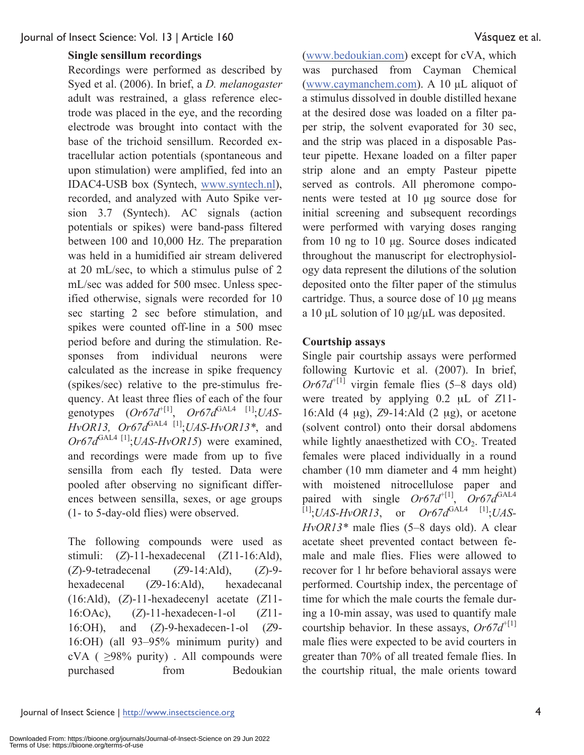#### **Single sensillum recordings**

Recordings were performed as described by Syed et al. (2006). In brief, a *D. melanogaster* adult was restrained, a glass reference electrode was placed in the eye, and the recording electrode was brought into contact with the base of the trichoid sensillum. Recorded extracellular action potentials (spontaneous and upon stimulation) were amplified, fed into an IDAC4-USB box (Syntech, www.syntech.nl), recorded, and analyzed with Auto Spike version 3.7 (Syntech). AC signals (action potentials or spikes) were band-pass filtered between 100 and 10,000 Hz. The preparation was held in a humidified air stream delivered at 20 mL/sec, to which a stimulus pulse of 2 mL/sec was added for 500 msec. Unless specified otherwise, signals were recorded for 10 sec starting 2 sec before stimulation, and spikes were counted off-line in a 500 msec period before and during the stimulation. Responses from individual neurons were calculated as the increase in spike frequency (spikes/sec) relative to the pre-stimulus frequency. At least three flies of each of the four genotypes  $(Or67d^{t[1]}, Or67d^{GAL4}$ <sup>[1]</sup>;*UAS*-*HvOR13, Or67d*GAL4 [1];*UAS-HvOR13\**, and *Or67d*<sup>GAL4 [1]</sup>;*UAS-HvOR15*) were examined, and recordings were made from up to five sensilla from each fly tested. Data were pooled after observing no significant differences between sensilla, sexes, or age groups (1- to 5-day-old flies) were observed.

The following compounds were used as stimuli: (*Z*)-11-hexadecenal (*Z*11-16:Ald), (*Z*)-9-tetradecenal (*Z*9-14:Ald), (*Z*)-9 hexadecenal (*Z*9-16:Ald), hexadecanal (16:Ald), (*Z*)-11-hexadecenyl acetate (*Z*11- 16:OAc), (*Z*)-11-hexadecen-1-ol (*Z*11- 16:OH), and (*Z*)-9-hexadecen-1-ol (*Z*9- 16:OH) (all 93–95% minimum purity) and cVA ( $\geq$ 98% purity). All compounds were purchased from Bedoukian

(www.bedoukian.com) except for cVA, which was purchased from Cayman Chemical (www.caymanchem.com). A 10 μL aliquot of a stimulus dissolved in double distilled hexane at the desired dose was loaded on a filter paper strip, the solvent evaporated for 30 sec, and the strip was placed in a disposable Pasteur pipette. Hexane loaded on a filter paper strip alone and an empty Pasteur pipette served as controls. All pheromone components were tested at 10 μg source dose for initial screening and subsequent recordings were performed with varying doses ranging from 10 ng to 10 μg. Source doses indicated throughout the manuscript for electrophysiology data represent the dilutions of the solution deposited onto the filter paper of the stimulus cartridge. Thus, a source dose of 10 μg means a 10 μL solution of 10 μg/μL was deposited.

#### **Courtship assays**

Single pair courtship assays were performed following Kurtovic et al. (2007). In brief,  $Or67d<sup>+[1]</sup>$  virgin female flies (5–8 days old) were treated by applying 0.2 μL of *Z*11- 16:Ald (4 μg), *Z*9-14:Ald (2 μg), or acetone (solvent control) onto their dorsal abdomens while lightly anaesthetized with  $CO<sub>2</sub>$ . Treated females were placed individually in a round chamber (10 mm diameter and 4 mm height) with moistened nitrocellulose paper and paired with single  $Or67d^{+[1]}$ ,  $Or67d^{GAL4}$  $^{[1]}$ ;*UAS-HvOR13*, or *Or67d*<sup>GAL4</sup> <sup>[1]</sup>;*UAS-HvOR13\** male flies (5–8 days old). A clear acetate sheet prevented contact between female and male flies. Flies were allowed to recover for 1 hr before behavioral assays were performed. Courtship index, the percentage of time for which the male courts the female during a 10-min assay, was used to quantify male courtship behavior. In these assays,  $Or67d^{+[1]}$ male flies were expected to be avid courters in greater than 70% of all treated female flies. In the courtship ritual, the male orients toward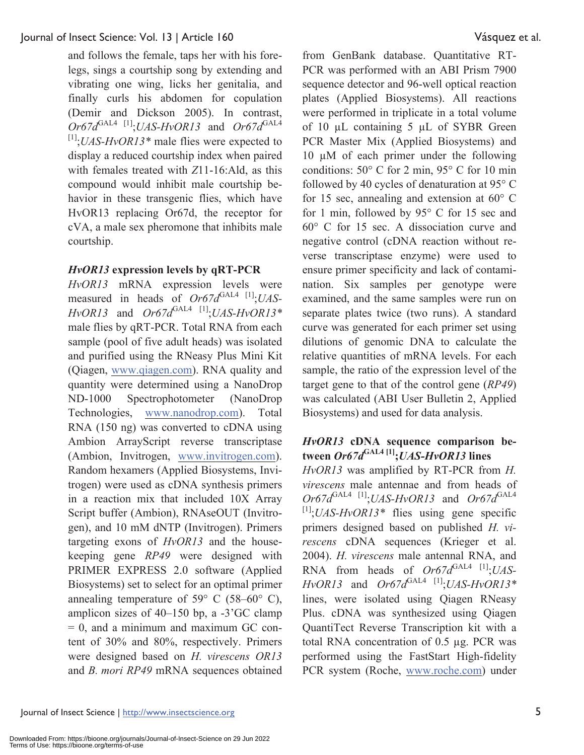and follows the female, taps her with his forelegs, sings a courtship song by extending and vibrating one wing, licks her genitalia, and finally curls his abdomen for copulation (Demir and Dickson 2005). In contrast,  $Or67d^{GAL4}$ <sup>[1]</sup>;*UAS-HvOR13* and  $Or67d^{GAL4}$ [1];*UAS-HvOR13\** male flies were expected to display a reduced courtship index when paired with females treated with *Z*11-16:Ald, as this compound would inhibit male courtship behavior in these transgenic flies, which have HvOR13 replacing Or67d, the receptor for cVA, a male sex pheromone that inhibits male courtship.

## *HvOR13* **expression levels by qRT-PCR**

*HvOR13* mRNA expression levels were measured in heads of *Or67d*<sup>GAL4 [1]</sup>;*UAS*- $HvOR13$  and  $Or67d^{GAL4}$ <sup>[1]</sup>;*UAS-HvOR13\** male flies by qRT-PCR. Total RNA from each sample (pool of five adult heads) was isolated and purified using the RNeasy Plus Mini Kit (Qiagen, www.qiagen.com). RNA quality and quantity were determined using a NanoDrop ND-1000 Spectrophotometer (NanoDrop Technologies, www.nanodrop.com). Total RNA (150 ng) was converted to cDNA using Ambion ArrayScript reverse transcriptase (Ambion, Invitrogen, www.invitrogen.com). Random hexamers (Applied Biosystems, Invitrogen) were used as cDNA synthesis primers in a reaction mix that included 10X Array Script buffer (Ambion), RNAseOUT (Invitrogen), and 10 mM dNTP (Invitrogen). Primers targeting exons of *HvOR13* and the housekeeping gene *RP49* were designed with PRIMER EXPRESS 2.0 software (Applied Biosystems) set to select for an optimal primer annealing temperature of 59 $\degree$  C (58–60 $\degree$  C), amplicon sizes of 40–150 bp, a -3'GC clamp  $= 0$ , and a minimum and maximum GC content of 30% and 80%, respectively. Primers were designed based on *H. virescens OR13*  and *B. mori RP49* mRNA sequences obtained

from GenBank database. Quantitative RT-PCR was performed with an ABI Prism 7900 sequence detector and 96-well optical reaction plates (Applied Biosystems). All reactions were performed in triplicate in a total volume of 10 µL containing 5 µL of SYBR Green PCR Master Mix (Applied Biosystems) and 10 µM of each primer under the following conditions: 50° C for 2 min, 95° C for 10 min followed by 40 cycles of denaturation at 95° C for 15 sec, annealing and extension at 60° C for 1 min, followed by 95° C for 15 sec and 60° C for 15 sec. A dissociation curve and negative control (cDNA reaction without reverse transcriptase enzyme) were used to ensure primer specificity and lack of contamination. Six samples per genotype were examined, and the same samples were run on separate plates twice (two runs). A standard curve was generated for each primer set using dilutions of genomic DNA to calculate the relative quantities of mRNA levels. For each sample, the ratio of the expression level of the target gene to that of the control gene (*RP49*) was calculated (ABI User Bulletin 2, Applied Biosystems) and used for data analysis.

#### *HvOR13* **cDNA sequence comparison between** *Or67d***GAL4 [1];***UAS-HvOR13* **lines**

*HvOR13* was amplified by RT-PCR from *H. virescens* male antennae and from heads of  $Or67d^{GAL4}$ <sup>[1]</sup>;*UAS-HvOR13* and  $Or67d^{GAL4}$ [1];*UAS-HvOR13\** flies using gene specific primers designed based on published *H. virescens* cDNA sequences (Krieger et al. 2004). *H. virescens* male antennal RNA, and RNA from heads of  $Or67d^{GAL4}$  [1];*UAS*- $HvOR13$  and  $Or67d^{GAL4}$ <sup>[1]</sup>;*UAS-HvOR13\** lines, were isolated using Qiagen RNeasy Plus. cDNA was synthesized using Qiagen QuantiTect Reverse Transcription kit with a total RNA concentration of 0.5 µg. PCR was performed using the FastStart High-fidelity PCR system (Roche, www.roche.com) under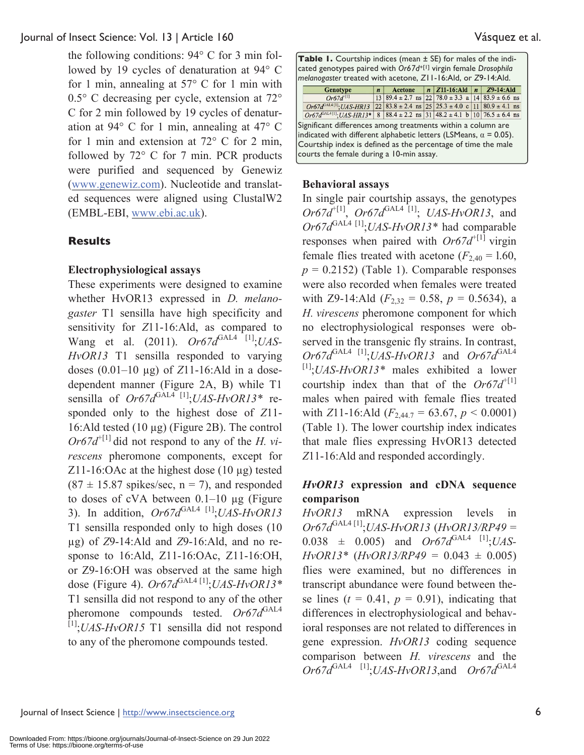the following conditions: 94° C for 3 min followed by 19 cycles of denaturation at 94° C for 1 min, annealing at 57° C for 1 min with 0.5° C decreasing per cycle, extension at 72° C for 2 min followed by 19 cycles of denaturation at 94° C for 1 min, annealing at 47° C for 1 min and extension at 72° C for 2 min, followed by 72° C for 7 min. PCR products were purified and sequenced by Genewiz (www.genewiz.com). Nucleotide and translated sequences were aligned using ClustalW2 (EMBL-EBI, www.ebi.ac.uk).

## **Results**

#### **Electrophysiological assays**

These experiments were designed to examine whether HvOR13 expressed in *D. melanogaster* T1 sensilla have high specificity and sensitivity for *Z*11-16:Ald, as compared to Wang et al. (2011). *Or67d*<sup>GAL4 [1]</sup>;*UAS*-*HvOR13* T1 sensilla responded to varying doses (0.01–10 µg) of *Z*11-16:Ald in a dosedependent manner (Figure 2A, B) while T1 sensilla of  $Or67d^{GAL4}$ <sup>[1]</sup>;*UAS-HvOR13\** responded only to the highest dose of *Z*11- 16:Ald tested (10 µg) (Figure 2B). The control  $Or67d^{+[1]}$  did not respond to any of the *H*. vi*rescens* pheromone components, except for Z11-16:OAc at the highest dose  $(10 \mu g)$  tested  $(87 \pm 15.87 \text{ spikes/sec}, n = 7)$ , and responded to doses of cVA between  $0.1-10 \mu$ g (Figure 3). In addition,  $Or67d^{GAL4}$ <sup>[1]</sup>;*UAS-HvOR13* T1 sensilla responded only to high doses (10 µg) of *Z*9-14:Ald and *Z*9-16:Ald, and no response to 16:Ald, Z11-16:OAc, Z11-16:OH, or Z9-16:OH was observed at the same high dose (Figure 4). *Or67d*<sup>GAL4 [1]</sup>;*UAS-HvOR13\** T1 sensilla did not respond to any of the other pheromone compounds tested. *Or67d*<sup>GAL4</sup> [1];*UAS-HvOR15* T1 sensilla did not respond to any of the pheromone compounds tested.

| <b>Table 1.</b> Courtship indices (mean $\pm$ SE) for males of the indi-<br>cated genotypes paired with Or67d <sup>+[1]</sup> virgin female Drosophila<br>melanogaster treated with acetone, ZII-16:Ald, or Z9-14:Ald.                               |                  |                                                                 |  |                                        |  |               |  |  |
|------------------------------------------------------------------------------------------------------------------------------------------------------------------------------------------------------------------------------------------------------|------------------|-----------------------------------------------------------------|--|----------------------------------------|--|---------------|--|--|
| Genotype                                                                                                                                                                                                                                             | $\boldsymbol{n}$ | Acetone                                                         |  | $n \mid \mathbf{Z}$ 11-16:Ald $n \mid$ |  | $Z9-14$ : Ald |  |  |
| $Or67d^{[1]}$                                                                                                                                                                                                                                        |                  | $13 89.4 \pm 2.7$ ns $ 22 78.0 \pm 3.3$ a $ 14 83.9 \pm 6.6$ ns |  |                                        |  |               |  |  |
| $Or67d^{GAL4[1]}$ ; UAS-HR13                                                                                                                                                                                                                         |                  | $22 83.8 \pm 2.4$ ns $ 25 25.3 \pm 4.0$ c 11 80.9 $\pm 4.1$ ns  |  |                                        |  |               |  |  |
| $Or67d^{G A L4 [1]}$ ; UAS-HR13* 8 88.4 ± 2.2 ns 31 48.2 ± 4.1 b 10 76.5 ± 6.4 ns                                                                                                                                                                    |                  |                                                                 |  |                                        |  |               |  |  |
| Significant differences among treatments within a column are<br>indicated with different alphabetic letters (LSMeans, $\alpha$ = 0.05).<br>Courtship index is defined as the percentage of time the male<br>courts the female during a 10-min assay. |                  |                                                                 |  |                                        |  |               |  |  |

#### **Behavioral assays**

In single pair courtship assays, the genotypes  $Or67d^{+[1]}$ ,  $Or67d^{GAL4}$ <sup>[1]</sup>; *UAS-HvOR13*, and *Or67d*GAL4 [1];*UAS-HvOR13\** had comparable responses when paired with  $Or67d^{+[1]}$  virgin female flies treated with acetone  $(F_{2,40} = 1.60)$ ,  $p = 0.2152$ ) (Table 1). Comparable responses were also recorded when females were treated with Z9-14:Ald  $(F_{2,32} = 0.58, p = 0.5634)$ , a *H. virescens* pheromone component for which no electrophysiological responses were observed in the transgenic fly strains. In contrast,  $Or67d^{GAL4}$ <sup>[1]</sup>;*UAS-HvOR13* and  $Or67d^{GAL4}$ [1];*UAS-HvOR13\** males exhibited a lower courtship index than that of the  $Or67d^{+[1]}$ males when paired with female flies treated with *Z*11-16:Ald  $(F_{2,44.7} = 63.67, p < 0.0001)$ (Table 1). The lower courtship index indicates that male flies expressing HvOR13 detected *Z*11-16:Ald and responded accordingly.

## *HvOR13* **expression and cDNA sequence comparison**

*HvOR13* mRNA expression levels in *Or67d*GAL4 [1];*UAS-HvOR13* (*HvOR13/RP49* =  $0.038 \pm 0.005$  and  $Or67d^{GAL4}$  [1] $UAS$ -*HvOR13\** (*HvOR13/RP49* = 0.043 ± 0.005) flies were examined, but no differences in transcript abundance were found between these lines  $(t = 0.41, p = 0.91)$ , indicating that differences in electrophysiological and behavioral responses are not related to differences in gene expression. *HvOR13* coding sequence comparison between *H. virescens* and the  $Or67d^{GAL4}$ <sup>[1]</sup>;*UAS-HvOR13*,and  $Or67d^{GAL4}$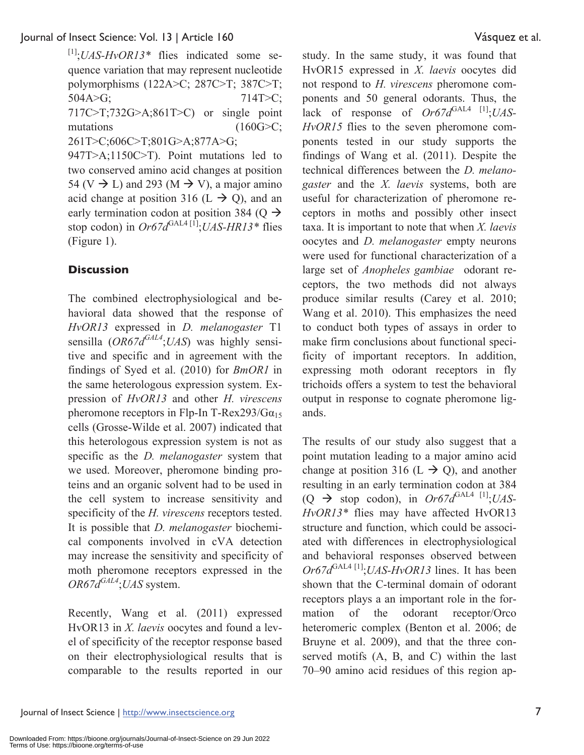[1];*UAS-HvOR13\** flies indicated some sequence variation that may represent nucleotide polymorphisms (122A>C; 287C>T; 387C>T;  $504A > G$ ;  $714T > C$ ; 717C>T;732G>A;861T>C) or single point mutations (160G>C; 261T>C;606C>T;801G>A;877A>G; 947T>A;1150C>T). Point mutations led to two conserved amino acid changes at position 54 (V  $\rightarrow$  L) and 293 (M  $\rightarrow$  V), a major amino acid change at position 316 (L  $\rightarrow$  Q), and an early termination codon at position 384 (Q  $\rightarrow$ stop codon) in  $Or67d^{GAL4 [1]}$ ;*UAS-HR13*<sup>\*</sup> flies

## (Figure 1).

## **Discussion**

The combined electrophysiological and behavioral data showed that the response of *HvOR13* expressed in *D. melanogaster* T1 sensilla (*OR67dGAL4*;*UAS*) was highly sensitive and specific and in agreement with the findings of Syed et al. (2010) for *BmOR1* in the same heterologous expression system. Expression of *HvOR13* and other *H. virescens* pheromone receptors in Flp-In T-Rex293/G $\alpha_{15}$ cells (Grosse-Wilde et al. 2007) indicated that this heterologous expression system is not as specific as the *D. melanogaster* system that we used. Moreover, pheromone binding proteins and an organic solvent had to be used in the cell system to increase sensitivity and specificity of the *H. virescens* receptors tested. It is possible that *D. melanogaster* biochemical components involved in cVA detection may increase the sensitivity and specificity of moth pheromone receptors expressed in the *OR67dGAL4*;*UAS* system.

Recently, Wang et al. (2011) expressed HvOR13 in *X. laevis* oocytes and found a level of specificity of the receptor response based on their electrophysiological results that is comparable to the results reported in our study. In the same study, it was found that HvOR15 expressed in *X. laevis* oocytes did not respond to *H. virescens* pheromone components and 50 general odorants. Thus, the lack of response of  $Or67d^{GAL4}$ <sup>[1]</sup>;*UAS*-*HvOR15* flies to the seven pheromone components tested in our study supports the findings of Wang et al. (2011). Despite the technical differences between the *D. melanogaster* and the *X. laevis* systems, both are useful for characterization of pheromone receptors in moths and possibly other insect taxa. It is important to note that when *X. laevis* oocytes and *D. melanogaster* empty neurons were used for functional characterization of a large set of *Anopheles gambiae* odorant receptors, the two methods did not always produce similar results (Carey et al. 2010; Wang et al. 2010). This emphasizes the need to conduct both types of assays in order to make firm conclusions about functional specificity of important receptors. In addition, expressing moth odorant receptors in fly trichoids offers a system to test the behavioral output in response to cognate pheromone ligands.

The results of our study also suggest that a point mutation leading to a major amino acid change at position 316 (L  $\rightarrow$  Q), and another resulting in an early termination codon at 384  $(Q \rightarrow$  stop codon), in  $Or67d^{GAL4}$ <sup>[1]</sup>;*UAS*-*HvOR13\** flies may have affected HvOR13 structure and function, which could be associated with differences in electrophysiological and behavioral responses observed between  $Or67d^{GAL4}$ <sup>[1]</sup>;*UAS-HvOR13* lines. It has been shown that the C-terminal domain of odorant receptors plays a an important role in the formation of the odorant receptor/Orco heteromeric complex (Benton et al. 2006; de Bruyne et al. 2009), and that the three conserved motifs (A, B, and C) within the last 70–90 amino acid residues of this region ap-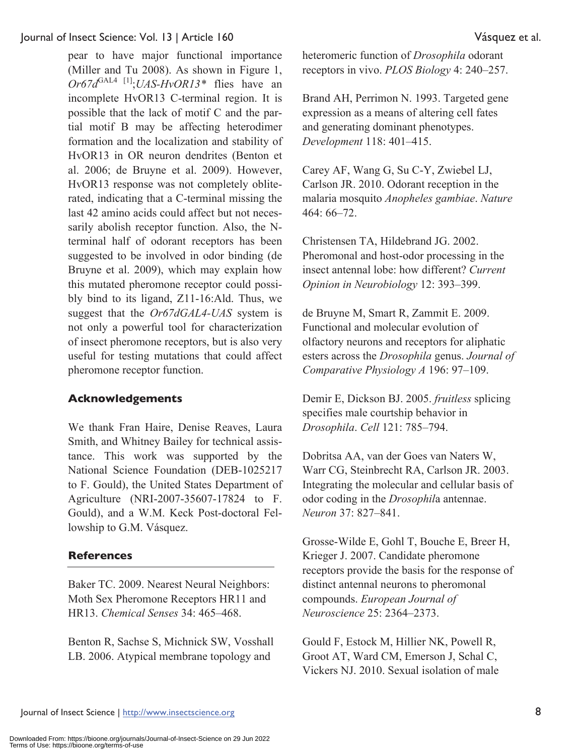pear to have major functional importance (Miller and Tu 2008). As shown in Figure 1, *Or67d*GAL4 [1];*UAS-HvOR13\** flies have an incomplete HvOR13 C-terminal region. It is possible that the lack of motif C and the partial motif B may be affecting heterodimer formation and the localization and stability of HvOR13 in OR neuron dendrites (Benton et al. 2006; de Bruyne et al. 2009). However, HvOR13 response was not completely obliterated, indicating that a C-terminal missing the last 42 amino acids could affect but not necessarily abolish receptor function. Also, the Nterminal half of odorant receptors has been suggested to be involved in odor binding (de Bruyne et al. 2009), which may explain how this mutated pheromone receptor could possibly bind to its ligand, Z11-16:Ald. Thus, we suggest that the *Or67dGAL4-UAS* system is not only a powerful tool for characterization of insect pheromone receptors, but is also very useful for testing mutations that could affect pheromone receptor function.

## **Acknowledgements**

We thank Fran Haire, Denise Reaves, Laura Smith, and Whitney Bailey for technical assistance. This work was supported by the National Science Foundation (DEB-1025217 to F. Gould), the United States Department of Agriculture (NRI-2007-35607-17824 to F. Gould), and a W.M. Keck Post-doctoral Fellowship to G.M. Vásquez.

#### **References**

Baker TC. 2009. Nearest Neural Neighbors: Moth Sex Pheromone Receptors HR11 and HR13. *Chemical Senses* 34: 465–468.

Benton R, Sachse S, Michnick SW, Vosshall LB. 2006. Atypical membrane topology and

heteromeric function of *Drosophila* odorant receptors in vivo. *PLOS Biology* 4: 240–257.

Brand AH, Perrimon N. 1993. Targeted gene expression as a means of altering cell fates and generating dominant phenotypes. *Development* 118: 401–415.

Carey AF, Wang G, Su C-Y, Zwiebel LJ, Carlson JR. 2010. Odorant reception in the malaria mosquito *Anopheles gambiae*. *Nature* 464: 66–72.

Christensen TA, Hildebrand JG. 2002. Pheromonal and host-odor processing in the insect antennal lobe: how different? *Current Opinion in Neurobiology* 12: 393–399.

de Bruyne M, Smart R, Zammit E. 2009. Functional and molecular evolution of olfactory neurons and receptors for aliphatic esters across the *Drosophila* genus. *Journal of Comparative Physiology A* 196: 97–109.

Demir E, Dickson BJ. 2005. *fruitless* splicing specifies male courtship behavior in *Drosophila*. *Cell* 121: 785–794.

Dobritsa AA, van der Goes van Naters W, Warr CG, Steinbrecht RA, Carlson JR. 2003. Integrating the molecular and cellular basis of odor coding in the *Drosophil*a antennae. *Neuron* 37: 827–841.

Grosse-Wilde E, Gohl T, Bouche E, Breer H, Krieger J. 2007. Candidate pheromone receptors provide the basis for the response of distinct antennal neurons to pheromonal compounds. *European Journal of Neuroscience* 25: 2364–2373.

Gould F, Estock M, Hillier NK, Powell R, Groot AT, Ward CM, Emerson J, Schal C, Vickers NJ. 2010. Sexual isolation of male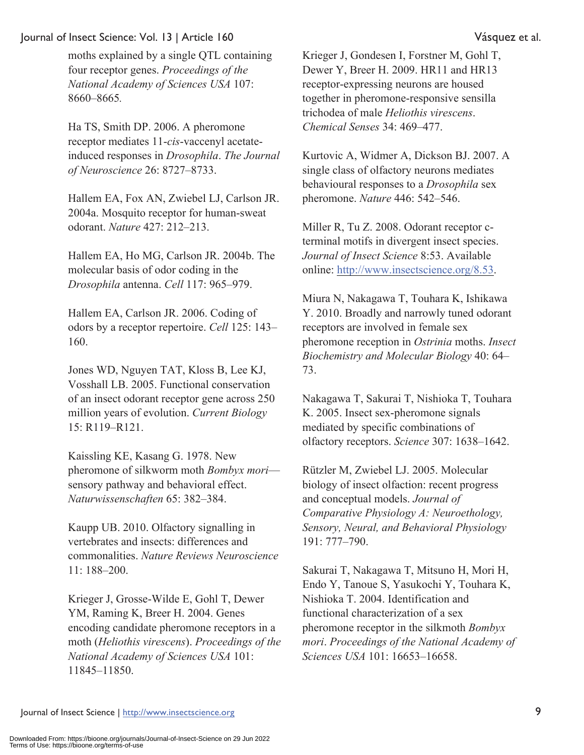moths explained by a single QTL containing four receptor genes. *Proceedings of the National Academy of Sciences USA* 107: 8660–8665*.*

Ha TS, Smith DP. 2006. A pheromone receptor mediates 11-*cis*-vaccenyl acetateinduced responses in *Drosophila*. *The Journal of Neuroscience* 26: 8727–8733.

Hallem EA, Fox AN, Zwiebel LJ, Carlson JR. 2004a. Mosquito receptor for human-sweat odorant. *Nature* 427: 212–213.

Hallem EA, Ho MG, Carlson JR. 2004b. The molecular basis of odor coding in the *Drosophila* antenna. *Cell* 117: 965–979.

Hallem EA, Carlson JR. 2006. Coding of odors by a receptor repertoire. *Cell* 125: 143– 160.

Jones WD, Nguyen TAT, Kloss B, Lee KJ, Vosshall LB. 2005. Functional conservation of an insect odorant receptor gene across 250 million years of evolution. *Current Biology* 15: R119–R121.

Kaissling KE, Kasang G. 1978. New pheromone of silkworm moth *Bombyx mori* sensory pathway and behavioral effect. *Naturwissenschaften* 65: 382–384.

Kaupp UB. 2010. Olfactory signalling in vertebrates and insects: differences and commonalities. *Nature Reviews Neuroscience* 11: 188–200.

Krieger J, Grosse-Wilde E, Gohl T, Dewer YM, Raming K, Breer H. 2004. Genes encoding candidate pheromone receptors in a moth (*Heliothis virescens*). *Proceedings of the National Academy of Sciences USA* 101: 11845–11850.

Krieger J, Gondesen I, Forstner M, Gohl T, Dewer Y, Breer H. 2009. HR11 and HR13 receptor-expressing neurons are housed together in pheromone-responsive sensilla trichodea of male *Heliothis virescens*. *Chemical Senses* 34: 469–477.

Kurtovic A, Widmer A, Dickson BJ. 2007. A single class of olfactory neurons mediates behavioural responses to a *Drosophila* sex pheromone. *Nature* 446: 542–546.

Miller R, Tu Z. 2008. Odorant receptor cterminal motifs in divergent insect species. *Journal of Insect Science* 8:53. Available online: http://www.insectscience.org/8.53.

Miura N, Nakagawa T, Touhara K, Ishikawa Y. 2010. Broadly and narrowly tuned odorant receptors are involved in female sex pheromone reception in *Ostrinia* moths. *Insect Biochemistry and Molecular Biology* 40: 64– 73.

Nakagawa T, Sakurai T, Nishioka T, Touhara K. 2005. Insect sex-pheromone signals mediated by specific combinations of olfactory receptors. *Science* 307: 1638–1642.

Rützler M, Zwiebel LJ. 2005. Molecular biology of insect olfaction: recent progress and conceptual models. *Journal of Comparative Physiology A: Neuroethology, Sensory, Neural, and Behavioral Physiology* 191: 777–790.

Sakurai T, Nakagawa T, Mitsuno H, Mori H, Endo Y, Tanoue S, Yasukochi Y, Touhara K, Nishioka T. 2004. Identification and functional characterization of a sex pheromone receptor in the silkmoth *Bombyx mori*. *Proceedings of the National Academy of Sciences USA* 101: 16653–16658.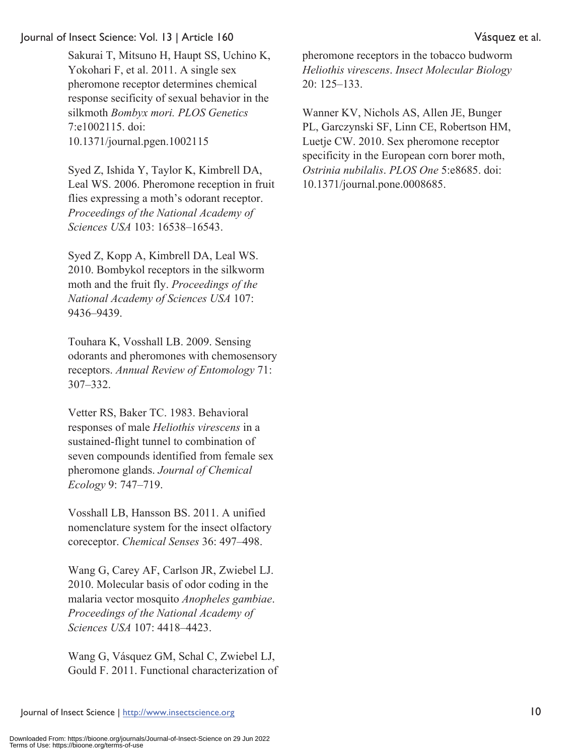Sakurai T, Mitsuno H, Haupt SS, Uchino K, Yokohari F, et al. 2011. A single sex pheromone receptor determines chemical response secificity of sexual behavior in the silkmoth *Bombyx mori. PLOS Genetics* 7:e1002115. doi: 10.1371/journal.pgen.1002115

Syed Z, Ishida Y, Taylor K, Kimbrell DA, Leal WS. 2006. Pheromone reception in fruit flies expressing a moth's odorant receptor. *Proceedings of the National Academy of Sciences USA* 103: 16538–16543.

Syed Z, Kopp A, Kimbrell DA, Leal WS. 2010. Bombykol receptors in the silkworm moth and the fruit fly. *Proceedings of the National Academy of Sciences USA* 107: 9436–9439.

Touhara K, Vosshall LB. 2009. Sensing odorants and pheromones with chemosensory receptors. *Annual Review of Entomology* 71: 307–332.

Vetter RS, Baker TC. 1983. Behavioral responses of male *Heliothis virescens* in a sustained-flight tunnel to combination of seven compounds identified from female sex pheromone glands. *Journal of Chemical Ecology* 9: 747–719.

Vosshall LB, Hansson BS. 2011. A unified nomenclature system for the insect olfactory coreceptor. *Chemical Senses* 36: 497–498.

Wang G, Carey AF, Carlson JR, Zwiebel LJ. 2010. Molecular basis of odor coding in the malaria vector mosquito *Anopheles gambiae*. *Proceedings of the National Academy of Sciences USA* 107: 4418–4423.

Wang G, Vásquez GM, Schal C, Zwiebel LJ, Gould F. 2011. Functional characterization of

pheromone receptors in the tobacco budworm *Heliothis virescens*. *Insect Molecular Biology* 20: 125–133.

Wanner KV, Nichols AS, Allen JE, Bunger PL, Garczynski SF, Linn CE, Robertson HM, Luetje CW. 2010. Sex pheromone receptor specificity in the European corn borer moth, *Ostrinia nubilalis*. *PLOS One* 5:e8685. doi: 10.1371/journal.pone.0008685.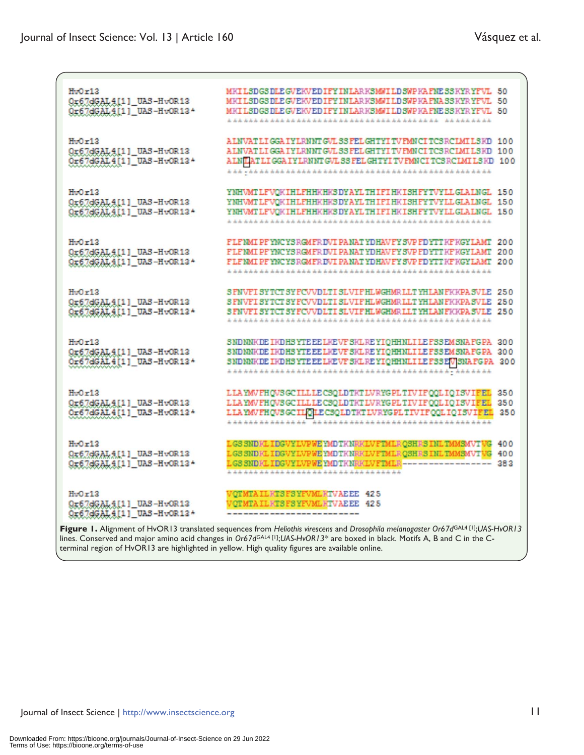| HvOr12<br>Qr67dGALAI1 UAS-HvOR13<br>Or67dGAL4[1] UAS-HvOR13+  | MKILSDGS DLE GVEKVED IFY INLARKSMNILD SVPKA FNE SSKYRYFVL 50<br>MKILSDGSDLEGVEKVEDIFYINLARKSMWILDSWPKAFNASSKYRYFVL 50<br>MEILSDGSDLEGVEEVEDIFYINLARESMWILDSWPEAFNESSEYRYFVL 50                       |                   |
|---------------------------------------------------------------|------------------------------------------------------------------------------------------------------------------------------------------------------------------------------------------------------|-------------------|
| HyOr12<br>Qr67dGAL4[1] UAS-HvOR13<br>Or67dGAL4[1] UAS-HvOR13* | ALNVAT LIGGA IYLRNNT GVL SS FELGHTYI TV FMNCI TCS RCLMI LS KD 100<br>ALMVATLIGGA IYLRNNT GVLSS FELGHTYI TV FMNCI TCS RCIMI LSKD 100<br>ALNUATLIGGA IYLRNNT GVL SS FELGHTYITV FMNCITCS RCLMILS KD 100 |                   |
| HvOr12<br>Qx67dGALAI11_UAS-HvOR13<br>Or67dGAL4111_UAS-HvOR13+ | YNHWNT LFWOKIHLFHHKHKS DYAYL THIFI HKISHFYTVYLL GLALNGL 150<br>YNHWMTLFVOKIHLFHHKHKSDYAYLTHIFIHKISHFYTVYLLGLALNGL 150<br>YNHVMTLFVOKIHLFHHKHKSDYAYLTHIFIHKISHFYTVYLLGLALNGL 150                      |                   |
| HyOr12<br>Qx67dGALAI1 _UAS-HvOR13<br>Ox67dGAL411_UAS-HvOR13+  | FLFNMI PFYNCYSRGMFRIMI PANATYDHAMFYSMPFDYTTKFKGYLAMT<br>FLFNMIPFYNCYSRGMFRIMIPANATYDHAMFYSWPFDYTTKFKGYLAMT 200<br>FLFNMIPFYNCYSRGMFRIMIPANATYDHAMFYSVPFDYTTKFKGYLAMT 200                             | 200               |
| HvOr13<br>Qr67dGAL4[1] UAS-HvOR13<br>Or67dGAL4[1]_UAS-HvOR13* | SPNVFISYTCTSYPC/VDLTISLVIFHLWGHMRLLTYHLANFKKPASVLE 250<br>SFNVFISYTCTSYFCVVDLTISLVIFHLWGHMRLLTYHLANFKKPASVLE 250<br>SFNVFISYTCTSYFCVVDLTISLVIFHLWGHMRLLTYHLANFKKPASVLE 250                           |                   |
| HvOr13<br>Qr67dGAL4[1] UAS-HvOR13<br>Or67dGAL4[1] UAS-HvOR13+ | SNDNNKDE IKDHSYTE EE LKEVF SKLREYIQHHNLILE FSSEMSNAFG PA 300<br>SNDNNKDE IKDHSYTE EE LKEVF SKLREYIOHHNLILE FSSEMSNAFG PA 300<br>SNDNNKDE IKDHSYTE EE LKEVF SKL REYIQHHNLILE FSSEV/SNAFGPA 300        |                   |
| Hv0r12<br>Qr67dGALA[1]_UAS-HvOR13<br>Or67dGAL4[1] UAS-HvOR13+ | LLAYM/FHOVSGCILLLECSOLDTKTLVRYGPLTIVIFOOLIOISVIFEL<br>LLAYMVFHQVSGCILLLECSQLDTKTLVRYGPLTIVIFQQLIQISVIFEL<br>LLAYMVFHQVSGCILOLECSQLDTKTLVRYGPLTIVIFQQLIQISVIFEL                                       | 350<br>350<br>250 |
| HvOr12<br>Qx67dGALA11_UAS-HvOR13<br>9x67dGAL411_UAS-HvOR13+   | LGSSNDKLIDGVYLVPWEYMDTKNRKLVFTMLROSHRSINLTMMSMVTVG 400<br>LGS SNDRLIDGVYLVPWEYMDTKNRRLVFTMLROSHRS INLTMMSMVTWG 400<br>LGS SNDKLIDGVYLVPWEYMDTKNRKLVFTMLR----------------- 383                        |                   |
| Hv0r12<br>Qr67dGALA[1]_UAS-HvOR13<br>9x67dGAL4111_UAS-HvOR13+ | VOTMTAILKTSFSYFVMLKTVAEEE 425<br>VOTMTAILETSFSYFVMLETVAEEE 425<br>Figure 1. Alignment of HvOR13 translated sequences from Heliothis virescens and Drosophila melanogaster Or67dGAL4 [1];UAS-HvOR13   |                   |

lines. Conserved and major amino acid changes in *Or67d*GAL4 [1];*UAS-HvOR13\** are boxed in black. Motifs A, B and C in the Cterminal region of HvOR13 are highlighted in yellow. High quality figures are available online.